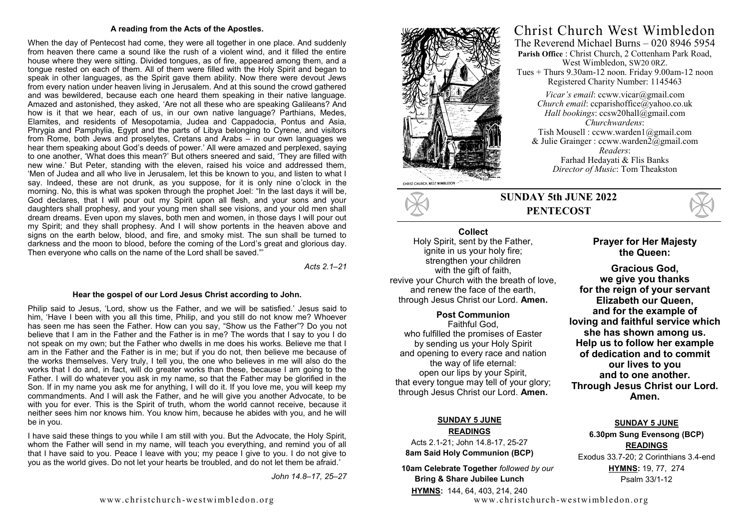#### **A reading from the Acts of the Apostles.**

When the day of Pentecost had come, they were all together in one place. And suddenly from heaven there came a sound like the rush of a violent wind, and it filled the entire house where they were sitting. Divided tongues, as of fire, appeared among them, and a tongue rested on each of them. All of them were filled with the Holy Spirit and began to speak in other languages, as the Spirit gave them ability. Now there were devout Jews from every nation under heaven living in Jerusalem. And at this sound the crowd gathered and was bewildered, because each one heard them speaking in their native language. Amazed and astonished, they asked, 'Are not all these who are speaking Galileans? And how is it that we hear, each of us, in our own native language? Parthians, Medes, Elamites, and residents of Mesopotamia, Judea and Cappadocia, Pontus and Asia, Phrygia and Pamphylia, Egypt and the parts of Libya belonging to Cyrene, and visitors from Rome, both Jews and proselytes, Cretans and Arabs – in our own languages we hear them speaking about God's deeds of power.' All were amazed and perplexed, saying to one another, 'What does this mean?' But others sneered and said, 'They are filled with new wine.' But Peter, standing with the eleven, raised his voice and addressed them, 'Men of Judea and all who live in Jerusalem, let this be known to you, and listen to what I say. Indeed, these are not drunk, as you suppose, for it is only nine o'clock in the morning. No, this is what was spoken through the prophet Joel: "In the last days it will be, God declares, that I will pour out my Spirit upon all flesh, and your sons and your daughters shall prophesy, and your young men shall see visions, and your old men shall dream dreams. Even upon my slaves, both men and women, in those days I will pour out my Spirit; and they shall prophesy. And I will show portents in the heaven above and signs on the earth below, blood, and fire, and smoky mist. The sun shall be turned to darkness and the moon to blood, before the coming of the Lord's great and glorious day. Then everyone who calls on the name of the Lord shall be saved."'

*Acts 2.1–21*

#### **Hear the gospel of our Lord Jesus Christ according to John.**

Philip said to Jesus, 'Lord, show us the Father, and we will be satisfied.' Jesus said to him, 'Have I been with you all this time, Philip, and you still do not know me? Whoever has seen me has seen the Father. How can you say, "Show us the Father"? Do you not believe that I am in the Father and the Father is in me? The words that I say to you I do not speak on my own; but the Father who dwells in me does his works. Believe me that I am in the Father and the Father is in me; but if you do not, then believe me because of the works themselves. Very truly, I tell you, the one who believes in me will also do the works that I do and, in fact, will do greater works than these, because I am going to the Father. I will do whatever you ask in my name, so that the Father may be glorified in the Son. If in my name you ask me for anything, I will do it. If you love me, you will keep my commandments. And I will ask the Father, and he will give you another Advocate, to be with you for ever. This is the Spirit of truth, whom the world cannot receive, because it neither sees him nor knows him. You know him, because he abides with you, and he will be in you.

I have said these things to you while I am still with you. But the Advocate, the Holy Spirit, whom the Father will send in my name, will teach you everything, and remind you of all that I have said to you. Peace I leave with you; my peace I give to you. I do not give to you as the world gives. Do not let your hearts be troubled, and do not let them be afraid.'

*John 14.8–17, 25–27*



## Christ Church West Wimbledon The Reverend Michael Burns – 020 8946 5954

**Parish Office** : Christ Church, 2 Cottenham Park Road, West Wimbledon, SW20 0RZ. Tues + Thurs 9.30am-12 noon. Friday 9.00am-12 noon Registered Charity Number: 1145463

*Vicar's email*: ccww.vicar@gmail.com *Church email:* ccparishoffice@yahoo.co.uk *Hall bookings*: ccsw20hall@gmail.com *Churchwardens*: Tish Mousell : ccww.warden1@gmail.com & Julie Grainger : ccww.warden2@gmail.com *Readers*: Farhad Hedayati & Flis Banks *Director of Music*: Tom Theakston

## **SUNDAY 5th JUNE 2022 PENTECOST**

#### **Collect**

Holy Spirit, sent by the Father, ignite in us your holy fire; strengthen your children with the gift of faith, revive your Church with the breath of love, and renew the face of the earth, through Jesus Christ our Lord. **Amen.** 

**Post Communion** 

Faithful God, who fulfilled the promises of Easter by sending us your Holy Spirit and opening to every race and nation the way of life eternal: open our lips by your Spirit, that every tongue may tell of your glory; through Jesus Christ our Lord. **Amen.**

#### **SUNDAY 5 JUNE**

**READINGS**

Acts 2.1-21; John 14.8-17, 25-27 **8am Said Holy Communion (BCP)** 

 **10am Celebrate Together** *followed by our*  **Bring & Share Jubilee Lunch HYMNS:** 144, 64, 403, 214, 240

**Prayer for Her Majesty the Queen:**

**Gracious God, we give you thanks for the reign of your servant Elizabeth our Queen, and for the example of loving and faithful service which she has shown among us. Help us to follow her example of dedication and to commit our lives to you and to one another. Through Jesus Christ our Lord. Amen.**

#### **SUNDAY 5 JUNE**

**6.30pm Sung Evensong (BCP) READINGS** Exodus 33.7-20; 2 Corinthians 3.4-end **HYMNS:** 19, 77, 274 Psalm 33/1-12